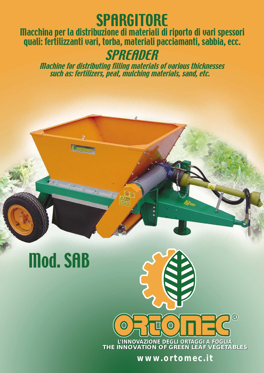## **SPARGITORE**

Macchina per la distribuzione di materiali di riporto di vari spessori quali: fertilizzanti vari, torba, materiali pacciamanti, sabbia, ecc.

**SPREADER** 

Machine for distributing filling materials of various thicknesses such as: fertilizers, peat, mulching materials, sand, etc.

 $\overline{\mathbf{\circ}}$ 

# Mod. SAB

#### ® **L'INNOVAZIONE DEGLI ORTAGGI A FOGLIA L'INNOVAZIONE DEGLI ORTAGGI A FOGLIA** *THE INNOVATION OF GREEN LEAF VEGETABLES THE INNOVATION OF GREEN LEAF VEGETABLES*

**www.ortomec.it**